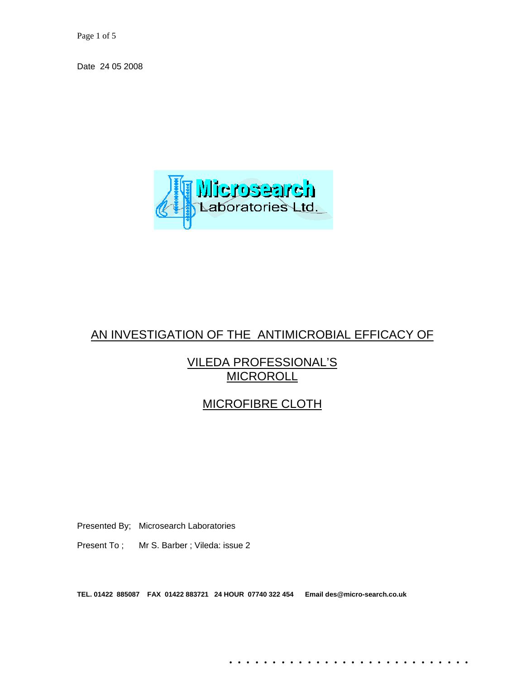Date 24 05 2008



# AN INVESTIGATION OF THE ANTIMICROBIAL EFFICACY OF

# VILEDA PROFESSIONAL'S **MICROROLL**

# MICROFIBRE CLOTH

Presented By; Microsearch Laboratories

Present To; Mr S. Barber ; Vileda: issue 2

**TEL. 01422 885087 FAX 01422 883721 24 HOUR 07740 322 454 Email des@micro-search.co.uk** 

. . . . . . . . . . . . . . . . . . . . . . . . . . . .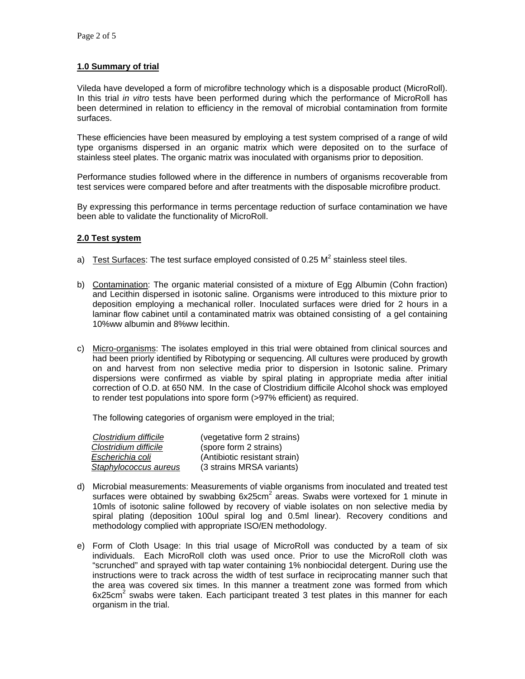### **1.0 Summary of trial**

been determined in relation to efficiency in the removal of microbial contamination from formite surfaces. Vileda have developed a form of microfibre technology which is a disposable product (MicroRoll). In this trial *in vitro* tests have been performed during which the performance of MicroRoll has

type organisms dispersed in an organic matrix which were deposited on to the surface of stainless steel plates. The organic matrix was inoculated with organisms prior to deposition. These efficiencies have been measured by employing a test system comprised of a range of wild

test services were compared before and after treatments with the disposable microfibre product. Performance studies followed where in the difference in numbers of organisms recoverable from

By expressing this performance in terms percentage reduction of surface contamination we have been able to validate the functionality of MicroRoll.

#### **.0 Test system 2**

- a) Test Surfaces: The test surface employed consisted of 0.25  $M^2$  stainless steel tiles.
- b) Contamination: The organic material consisted of a mixture of Egg Albumin (Cohn fraction) and Lecithin dispersed in isotonic saline. Organisms were introduced to this mixture prior to deposition employing a mechanical roller. Inoculated surfaces were dried for 2 hours in a laminar flow cabinet until a contaminated matrix was obtained consisting of a gel containing 10%ww albumin and 8%ww lecithin.
- c) Micro-organisms: The isolates employed in this trial were obtained from clinical sources and had been priorly identified by Ribotyping or sequencing. All cultures were produced by growth on and harvest from non selective media prior to dispersion in Isotonic saline. Primary dispersions were confirmed as viable by spiral plating in appropriate media after initial correction of O.D. at 650 NM. In the case of Clostridium difficile Alcohol shock was employed to render test populations into spore form (>97% efficient) as required.

The following categories of organism were employed in the trial;

| Clostridium difficile | (vegetative form 2 strains)   |
|-----------------------|-------------------------------|
| Clostridium difficile | (spore form 2 strains)        |
| Escherichia coli      | (Antibiotic resistant strain) |
| Staphylococcus aureus | (3 strains MRSA variants)     |

- spiral plating (deposition 100ul spiral log and 0.5ml linear). Recovery conditions and methodology complied with appropriate ISO/EN methodology. d) Microbial measurements: Measurements of viable organisms from inoculated and treated test surfaces were obtained by swabbing  $6x25cm^2$  areas. Swabs were vortexed for 1 minute in 10mls of isotonic saline followed by recovery of viable isolates on non selective media by
- 6x25cm<sup>2</sup> swabs were taken. Each participant treated 3 test plates in this manner for each organism in the trial. e) Form of Cloth Usage: In this trial usage of MicroRoll was conducted by a team of six individuals. Each MicroRoll cloth was used once. Prior to use the MicroRoll cloth was "scrunched" and sprayed with tap water containing 1% nonbiocidal detergent. During use the instructions were to track across the width of test surface in reciprocating manner such that the area was covered six times. In this manner a treatment zone was formed from which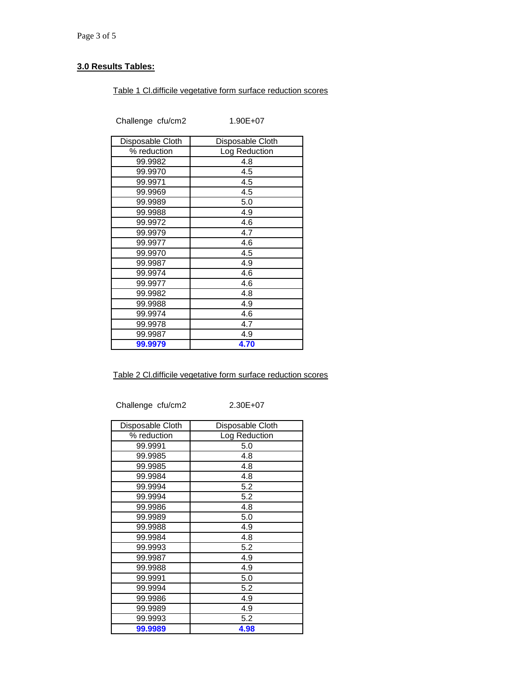### **3.0 Results Tables:**

### Table 1 Cl.difficile vegetative form surface reduction scores

Challenge cfu/cm2 1.90E+07

| Disposable Cloth | Disposable Cloth |  |
|------------------|------------------|--|
| % reduction      | Log Reduction    |  |
| 99.9982          | 4.8              |  |
| 99.9970          | 4.5              |  |
| 99.9971          | 4.5              |  |
| 99.9969          | 4.5              |  |
| 99.9989          | 5.0              |  |
| 99.9988          | 4.9              |  |
| 99.9972          | 4.6              |  |
| 99.9979          | 4.7              |  |
| 99.9977          | 4.6              |  |
| 99.9970          | 4.5              |  |
| 99.9987          | 4.9              |  |
| 99.9974          | 4.6              |  |
| 99.9977          | 4.6              |  |
| 99.9982          | 4.8              |  |
| 99.9988          | 4.9              |  |
| 99.9974          | 4.6              |  |
| 99.9978          | 4.7              |  |
| 99.9987          | 4.9              |  |
| 99.9979          | 4.70             |  |

Table 2 Cl.difficile vegetative form surface reduction scores

Challenge cfu/cm2 2.30E+07

| Disposable Cloth | Disposable Cloth |  |
|------------------|------------------|--|
| % reduction      | Log Reduction    |  |
| 99.9991          | 5.0              |  |
| 99.9985          | 4.8              |  |
| 99.9985          | 4.8              |  |
| 99.9984          | 4.8              |  |
| 99.9994          | 5.2              |  |
| 99.9994          | 5.2              |  |
| 99.9986          | 4.8              |  |
| 99.9989          | 5.0              |  |
| 99.9988          | 4.9              |  |
| 99.9984          | 4.8              |  |
| 99.9993          | 5.2              |  |
| 99.9987          | 4.9              |  |
| 99.9988          | 4.9              |  |
| 99.9991          | 5.0              |  |
| 99.9994          | 5.2              |  |
| 99.9986          | 4.9              |  |
| 99.9989          | 4.9              |  |
| 99.9993          | 5.2              |  |
| 99.9989          | 4.98             |  |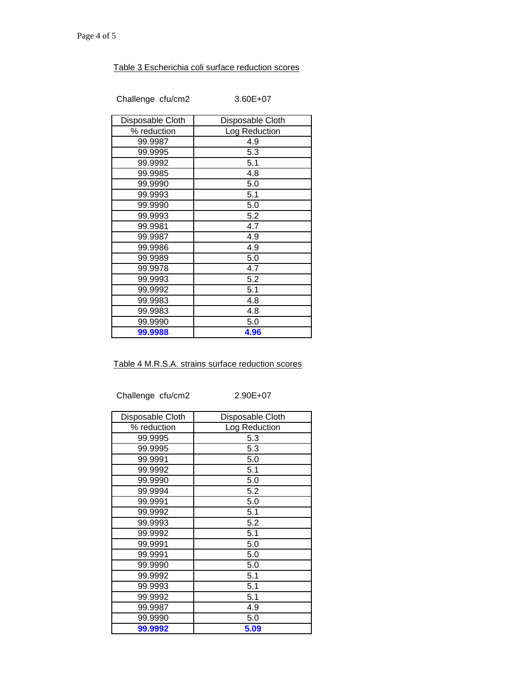## Table 3 Escherichia coli surface reduction scores

Challenge cfu/cm2 3.60E+07

| Disposable Cloth | Disposable Cloth |  |
|------------------|------------------|--|
| % reduction      | Log Reduction    |  |
| 99.9987          | 4.9              |  |
| 99.9995          | 5.3              |  |
| 99.9992          | 5.1              |  |
| 99.9985          | 4.8              |  |
| 99.9990          | 5.0              |  |
| 99.9993          | 5.1              |  |
| 99.9990          | 5.0              |  |
| 99.9993          | 5.2              |  |
| 99.9981          | 4.7              |  |
| 99.9987          | 4.9              |  |
| 99.9986          | 4.9              |  |
| 99.9989          | 5.0              |  |
| 99.9978          | 4.7              |  |
| 99.9993          | 5.2              |  |
| 99.9992          | 5.1              |  |
| 99.9983          | 4.8              |  |
| 99.9983          | 4.8              |  |
| 99.9990          | 5.0              |  |
| 99.9988          | 4.96             |  |

### Table 4 M.R.S.A. strains surface reduction scores

Challenge cfu/cm2 2.90E+07

| Disposable Cloth | Disposable Cloth |  |
|------------------|------------------|--|
| % reduction      | Log Reduction    |  |
| 99.9995          | 5.3              |  |
| 99.9995          | 5.3              |  |
| 99.9991          | 5.0              |  |
| 99.9992          | 5.1              |  |
| 99.9990          | 5.0              |  |
| 99.9994          | 5.2              |  |
| 99.9991          | 5.0              |  |
| 99.9992          | 5.1              |  |
| 99.9993          | 5.2              |  |
| 99.9992          | 5.1              |  |
| 99.9991          | 5.0              |  |
| 99.9991          | 5.0              |  |
| 99.9990          | 5.0              |  |
| 99.9992          | 5.1              |  |
| 99.9993          | 5.1              |  |
| 99.9992          | 5.1              |  |
| 99.9987          | 4.9              |  |
| 99.9990          | 5.0              |  |
| 99.9992          | 5.09             |  |